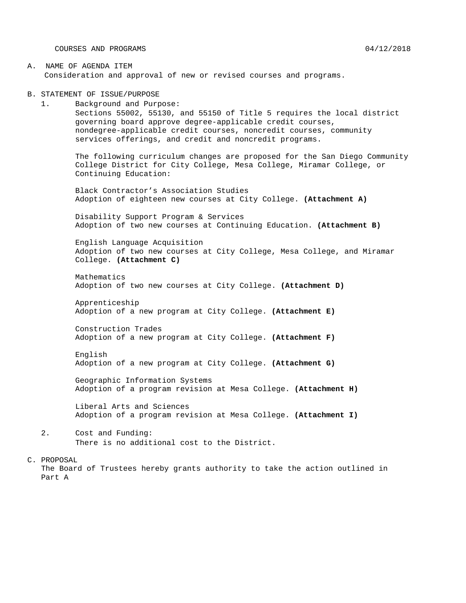COURSES AND PROGRAMS 04/12/2018

- A. NAME OF AGENDA ITEM Consideration and approval of new or revised courses and programs.
- B. STATEMENT OF ISSUE/PURPOSE
	- 1. Background and Purpose: Sections 55002, 55130, and 55150 of Title 5 requires the local district governing board approve degree-applicable credit courses, nondegree-applicable credit courses, noncredit courses, community services offerings, and credit and noncredit programs.

The following curriculum changes are proposed for the San Diego Community College District for City College, Mesa College, Miramar College, or Continuing Education:

Black Contractor's Association Studies Adoption of eighteen new courses at City College. **(Attachment A)**

Disability Support Program & Services Adoption of two new courses at Continuing Education. **(Attachment B)**

English Language Acquisition Adoption of two new courses at City College, Mesa College, and Miramar College. **(Attachment C)**

Mathematics Adoption of two new courses at City College. **(Attachment D)**

Apprenticeship Adoption of a new program at City College. **(Attachment E)**

Construction Trades Adoption of a new program at City College. **(Attachment F)**

English Adoption of a new program at City College. **(Attachment G)**

Geographic Information Systems Adoption of a program revision at Mesa College. **(Attachment H)**

Liberal Arts and Sciences Adoption of a program revision at Mesa College. **(Attachment I)**

2. Cost and Funding: There is no additional cost to the District.

#### C. PROPOSAL

The Board of Trustees hereby grants authority to take the action outlined in Part A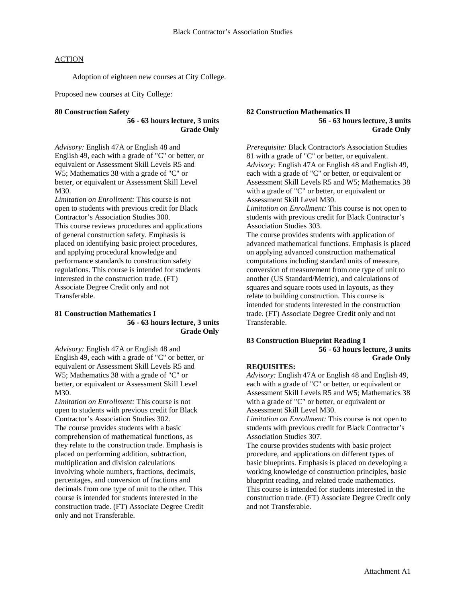Adoption of eighteen new courses at City College.

Proposed new courses at City College:

#### **80 Construction Safety**

**56 - 63 hours lecture, 3 units Grade Only**

*Advisory:* English 47A or English 48 and English 49, each with a grade of "C" or better, or equivalent or Assessment Skill Levels R5 and W5; Mathematics 38 with a grade of "C" or better, or equivalent or Assessment Skill Level M30.

*Limitation on Enrollment:* This course is not open to students with previous credit for Black Contractor's Association Studies 300. This course reviews procedures and applications of general construction safety. Emphasis is placed on identifying basic project procedures, and applying procedural knowledge and performance standards to construction safety regulations. This course is intended for students interested in the construction trade. (FT) Associate Degree Credit only and not Transferable.

#### **81 Construction Mathematics I 56 - 63 hours lecture, 3 units Grade Only**

*Advisory:* English 47A or English 48 and English 49, each with a grade of "C" or better, or equivalent or Assessment Skill Levels R5 and W5; Mathematics 38 with a grade of "C" or better, or equivalent or Assessment Skill Level M30.

*Limitation on Enrollment:* This course is not open to students with previous credit for Black Contractor's Association Studies 302. The course provides students with a basic comprehension of mathematical functions, as they relate to the construction trade. Emphasis is placed on performing addition, subtraction, multiplication and division calculations involving whole numbers, fractions, decimals, percentages, and conversion of fractions and decimals from one type of unit to the other. This course is intended for students interested in the construction trade. (FT) Associate Degree Credit only and not Transferable.

**82 Construction Mathematics II 56 - 63 hours lecture, 3 units Grade Only**

*Prerequisite:* Black Contractor's Association Studies 81 with a grade of "C" or better, or equivalent. *Advisory:* English 47A or English 48 and English 49, each with a grade of "C" or better, or equivalent or Assessment Skill Levels R5 and W5; Mathematics 38 with a grade of "C" or better, or equivalent or Assessment Skill Level M30. *Limitation on Enrollment:* This course is not open to students with previous credit for Black Contractor's Association Studies 303. The course provides students with application of advanced mathematical functions. Emphasis is placed on applying advanced construction mathematical computations including standard units of measure, conversion of measurement from one type of unit to another (US Standard/Metric), and calculations of squares and square roots used in layouts, as they relate to building construction. This course is intended for students interested in the construction trade. (FT) Associate Degree Credit only and not

#### **83 Construction Blueprint Reading I 56 - 63 hours lecture, 3 units Grade Only**

#### **REQUISITES:**

Transferable.

*Advisory:* English 47A or English 48 and English 49, each with a grade of "C" or better, or equivalent or Assessment Skill Levels R5 and W5; Mathematics 38 with a grade of "C" or better, or equivalent or Assessment Skill Level M30.

*Limitation on Enrollment:* This course is not open to students with previous credit for Black Contractor's Association Studies 307.

The course provides students with basic project procedure, and applications on different types of basic blueprints. Emphasis is placed on developing a working knowledge of construction principles, basic blueprint reading, and related trade mathematics. This course is intended for students interested in the construction trade. (FT) Associate Degree Credit only and not Transferable.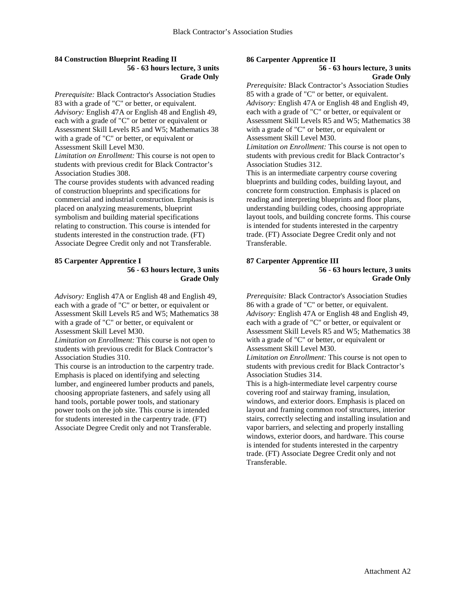## **84 Construction Blueprint Reading II 56 - 63 hours lecture, 3 units Grade Only**

*Prerequisite:* Black Contractor's Association Studies 83 with a grade of "C" or better, or equivalent. *Advisory:* English 47A or English 48 and English 49, each with a grade of "C" or better or equivalent or Assessment Skill Levels R5 and W5; Mathematics 38 with a grade of "C" or better, or equivalent or Assessment Skill Level M30.

*Limitation on Enrollment:* This course is not open to students with previous credit for Black Contractor's Association Studies 308.

The course provides students with advanced reading of construction blueprints and specifications for commercial and industrial construction. Emphasis is placed on analyzing measurements, blueprint symbolism and building material specifications relating to construction. This course is intended for students interested in the construction trade. (FT) Associate Degree Credit only and not Transferable.

## **85 Carpenter Apprentice I**

**56 - 63 hours lecture, 3 units Grade Only**

*Advisory:* English 47A or English 48 and English 49, each with a grade of "C" or better, or equivalent or Assessment Skill Levels R5 and W5; Mathematics 38 with a grade of "C" or better, or equivalent or Assessment Skill Level M30.

*Limitation on Enrollment:* This course is not open to students with previous credit for Black Contractor's Association Studies 310.

This course is an introduction to the carpentry trade. Emphasis is placed on identifying and selecting lumber, and engineered lumber products and panels, choosing appropriate fasteners, and safely using all hand tools, portable power tools, and stationary power tools on the job site. This course is intended for students interested in the carpentry trade. (FT) Associate Degree Credit only and not Transferable.

## **86 Carpenter Apprentice II**

### **56 - 63 hours lecture, 3 units Grade Only**

*Prerequisite:* Black Contractor's Association Studies 85 with a grade of "C" or better, or equivalent. *Advisory:* English 47A or English 48 and English 49, each with a grade of "C" or better, or equivalent or Assessment Skill Levels R5 and W5; Mathematics 38 with a grade of "C" or better, or equivalent or Assessment Skill Level M30.

*Limitation on Enrollment:* This course is not open to students with previous credit for Black Contractor's Association Studies 312.

This is an intermediate carpentry course covering blueprints and building codes, building layout, and concrete form construction. Emphasis is placed on reading and interpreting blueprints and floor plans, understanding building codes, choosing appropriate layout tools, and building concrete forms. This course is intended for students interested in the carpentry trade. (FT) Associate Degree Credit only and not Transferable.

#### **87 Carpenter Apprentice III 56 - 63 hours lecture, 3 units Grade Only**

*Prerequisite:* Black Contractor's Association Studies 86 with a grade of "C" or better, or equivalent. *Advisory:* English 47A or English 48 and English 49, each with a grade of "C" or better, or equivalent or Assessment Skill Levels R5 and W5; Mathematics 38 with a grade of "C" or better, or equivalent or Assessment Skill Level M30.

*Limitation on Enrollment:* This course is not open to students with previous credit for Black Contractor's Association Studies 314.

This is a high-intermediate level carpentry course covering roof and stairway framing, insulation, windows, and exterior doors. Emphasis is placed on layout and framing common roof structures, interior stairs, correctly selecting and installing insulation and vapor barriers, and selecting and properly installing windows, exterior doors, and hardware. This course is intended for students interested in the carpentry trade. (FT) Associate Degree Credit only and not Transferable.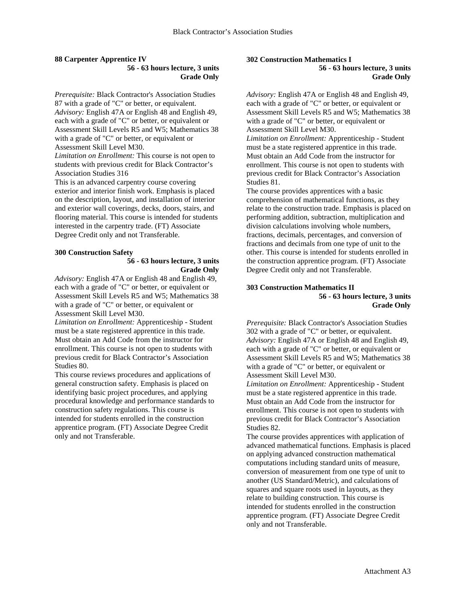#### **88 Carpenter Apprentice IV 56 - 63 hours lecture, 3 units Grade Only**

*Prerequisite:* Black Contractor's Association Studies 87 with a grade of "C" or better, or equivalent. *Advisory:* English 47A or English 48 and English 49, each with a grade of "C" or better, or equivalent or Assessment Skill Levels R5 and W5; Mathematics 38 with a grade of "C" or better, or equivalent or Assessment Skill Level M30.

*Limitation on Enrollment:* This course is not open to students with previous credit for Black Contractor's Association Studies 316

This is an advanced carpentry course covering exterior and interior finish work. Emphasis is placed on the description, layout, and installation of interior and exterior wall coverings, decks, doors, stairs, and flooring material. This course is intended for students interested in the carpentry trade. (FT) Associate Degree Credit only and not Transferable.

## **300 Construction Safety**

## **56 - 63 hours lecture, 3 units Grade Only**

*Advisory:* English 47A or English 48 and English 49, each with a grade of "C" or better, or equivalent or Assessment Skill Levels R5 and W5; Mathematics 38 with a grade of "C" or better, or equivalent or Assessment Skill Level M30.

*Limitation on Enrollment:* Apprenticeship - Student must be a state registered apprentice in this trade. Must obtain an Add Code from the instructor for enrollment. This course is not open to students with previous credit for Black Contractor's Association Studies 80.

This course reviews procedures and applications of general construction safety. Emphasis is placed on identifying basic project procedures, and applying procedural knowledge and performance standards to construction safety regulations. This course is intended for students enrolled in the construction apprentice program. (FT) Associate Degree Credit only and not Transferable.

#### **302 Construction Mathematics I 56 - 63 hours lecture, 3 units**

**Grade Only**

*Advisory:* English 47A or English 48 and English 49, each with a grade of "C" or better, or equivalent or Assessment Skill Levels R5 and W5; Mathematics 38 with a grade of "C" or better, or equivalent or Assessment Skill Level M30.

*Limitation on Enrollment:* Apprenticeship - Student must be a state registered apprentice in this trade. Must obtain an Add Code from the instructor for enrollment. This course is not open to students with previous credit for Black Contractor's Association Studies 81.

The course provides apprentices with a basic comprehension of mathematical functions, as they relate to the construction trade. Emphasis is placed on performing addition, subtraction, multiplication and division calculations involving whole numbers, fractions, decimals, percentages, and conversion of fractions and decimals from one type of unit to the other. This course is intended for students enrolled in the construction apprentice program. (FT) Associate Degree Credit only and not Transferable.

### **303 Construction Mathematics II 56 - 63 hours lecture, 3 units Grade Only**

*Prerequisite:* Black Contractor's Association Studies 302 with a grade of "C" or better, or equivalent. *Advisory:* English 47A or English 48 and English 49, each with a grade of "C" or better, or equivalent or Assessment Skill Levels R5 and W5; Mathematics 38 with a grade of "C" or better, or equivalent or Assessment Skill Level M30.

*Limitation on Enrollment:* Apprenticeship - Student must be a state registered apprentice in this trade. Must obtain an Add Code from the instructor for enrollment. This course is not open to students with previous credit for Black Contractor's Association Studies 82.

The course provides apprentices with application of advanced mathematical functions. Emphasis is placed on applying advanced construction mathematical computations including standard units of measure, conversion of measurement from one type of unit to another (US Standard/Metric), and calculations of squares and square roots used in layouts, as they relate to building construction. This course is intended for students enrolled in the construction apprentice program. (FT) Associate Degree Credit only and not Transferable.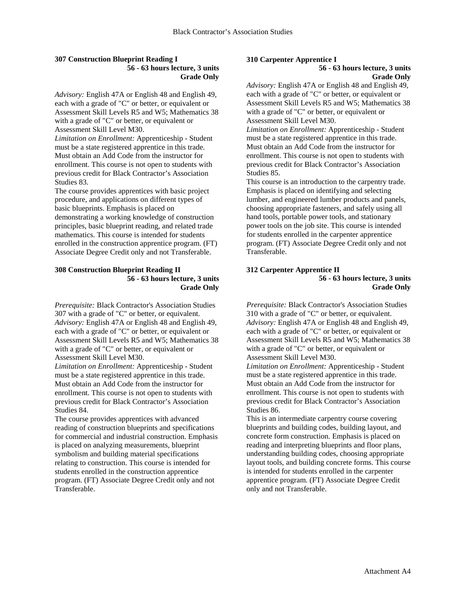## **307 Construction Blueprint Reading I 56 - 63 hours lecture, 3 units Grade Only**

*Advisory:* English 47A or English 48 and English 49, each with a grade of "C" or better, or equivalent or Assessment Skill Levels R5 and W5; Mathematics 38 with a grade of "C" or better, or equivalent or Assessment Skill Level M30.

*Limitation on Enrollment:* Apprenticeship - Student must be a state registered apprentice in this trade. Must obtain an Add Code from the instructor for enrollment. This course is not open to students with previous credit for Black Contractor's Association Studies 83.

The course provides apprentices with basic project procedure, and applications on different types of basic blueprints. Emphasis is placed on demonstrating a working knowledge of construction principles, basic blueprint reading, and related trade mathematics. This course is intended for students enrolled in the construction apprentice program. (FT) Associate Degree Credit only and not Transferable.

## **308 Construction Blueprint Reading II 56 - 63 hours lecture, 3 units Grade Only**

*Prerequisite:* Black Contractor's Association Studies 307 with a grade of "C" or better, or equivalent. *Advisory:* English 47A or English 48 and English 49, each with a grade of "C" or better, or equivalent or Assessment Skill Levels R5 and W5; Mathematics 38 with a grade of "C" or better, or equivalent or Assessment Skill Level M30.

*Limitation on Enrollment:* Apprenticeship - Student must be a state registered apprentice in this trade. Must obtain an Add Code from the instructor for enrollment. This course is not open to students with previous credit for Black Contractor's Association Studies 84.

The course provides apprentices with advanced reading of construction blueprints and specifications for commercial and industrial construction. Emphasis is placed on analyzing measurements, blueprint symbolism and building material specifications relating to construction. This course is intended for students enrolled in the construction apprentice program. (FT) Associate Degree Credit only and not Transferable.

# **310 Carpenter Apprentice I**

#### **56 - 63 hours lecture, 3 units Grade Only**

*Advisory:* English 47A or English 48 and English 49, each with a grade of "C" or better, or equivalent or Assessment Skill Levels R5 and W5; Mathematics 38 with a grade of "C" or better, or equivalent or Assessment Skill Level M30.

*Limitation on Enrollment:* Apprenticeship - Student must be a state registered apprentice in this trade. Must obtain an Add Code from the instructor for enrollment. This course is not open to students with previous credit for Black Contractor's Association Studies 85.

This course is an introduction to the carpentry trade. Emphasis is placed on identifying and selecting lumber, and engineered lumber products and panels, choosing appropriate fasteners, and safely using all hand tools, portable power tools, and stationary power tools on the job site. This course is intended for students enrolled in the carpenter apprentice program. (FT) Associate Degree Credit only and not Transferable.

### **312 Carpenter Apprentice II 56 - 63 hours lecture, 3 units Grade Only**

*Prerequisite:* Black Contractor's Association Studies 310 with a grade of "C" or better, or equivalent. *Advisory:* English 47A or English 48 and English 49, each with a grade of "C" or better, or equivalent or Assessment Skill Levels R5 and W5; Mathematics 38 with a grade of "C" or better, or equivalent or Assessment Skill Level M30.

*Limitation on Enrollment:* Apprenticeship - Student must be a state registered apprentice in this trade. Must obtain an Add Code from the instructor for enrollment. This course is not open to students with previous credit for Black Contractor's Association Studies 86.

This is an intermediate carpentry course covering blueprints and building codes, building layout, and concrete form construction. Emphasis is placed on reading and interpreting blueprints and floor plans, understanding building codes, choosing appropriate layout tools, and building concrete forms. This course is intended for students enrolled in the carpenter apprentice program. (FT) Associate Degree Credit only and not Transferable.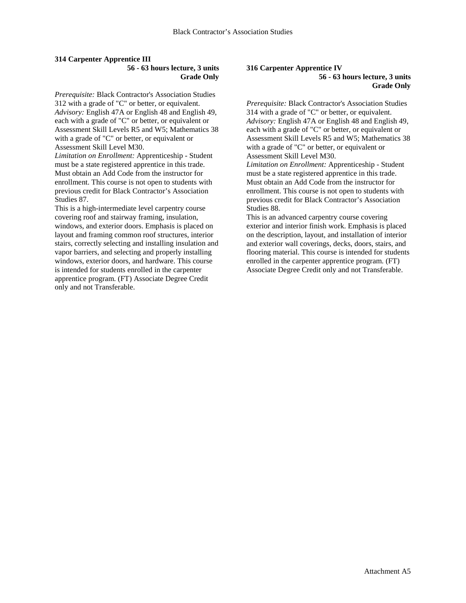### **314 Carpenter Apprentice III 56 - 63 hours lecture, 3 units Grade Only**

*Prerequisite:* Black Contractor's Association Studies 312 with a grade of "C" or better, or equivalent. *Advisory:* English 47A or English 48 and English 49, each with a grade of "C" or better, or equivalent or Assessment Skill Levels R5 and W5; Mathematics 38 with a grade of "C" or better, or equivalent or Assessment Skill Level M30.

*Limitation on Enrollment:* Apprenticeship - Student must be a state registered apprentice in this trade. Must obtain an Add Code from the instructor for enrollment. This course is not open to students with previous credit for Black Contractor's Association Studies 87.

This is a high-intermediate level carpentry course covering roof and stairway framing, insulation, windows, and exterior doors. Emphasis is placed on layout and framing common roof structures, interior stairs, correctly selecting and installing insulation and vapor barriers, and selecting and properly installing windows, exterior doors, and hardware. This course is intended for students enrolled in the carpenter apprentice program. (FT) Associate Degree Credit only and not Transferable.

#### **316 Carpenter Apprentice IV 56 - 63 hours lecture, 3 units Grade Only**

*Prerequisite:* Black Contractor's Association Studies 314 with a grade of "C" or better, or equivalent. *Advisory:* English 47A or English 48 and English 49, each with a grade of "C" or better, or equivalent or Assessment Skill Levels R5 and W5; Mathematics 38 with a grade of "C" or better, or equivalent or Assessment Skill Level M30.

*Limitation on Enrollment:* Apprenticeship - Student must be a state registered apprentice in this trade. Must obtain an Add Code from the instructor for enrollment. This course is not open to students with previous credit for Black Contractor's Association Studies 88.

This is an advanced carpentry course covering exterior and interior finish work. Emphasis is placed on the description, layout, and installation of interior and exterior wall coverings, decks, doors, stairs, and flooring material. This course is intended for students enrolled in the carpenter apprentice program. (FT) Associate Degree Credit only and not Transferable.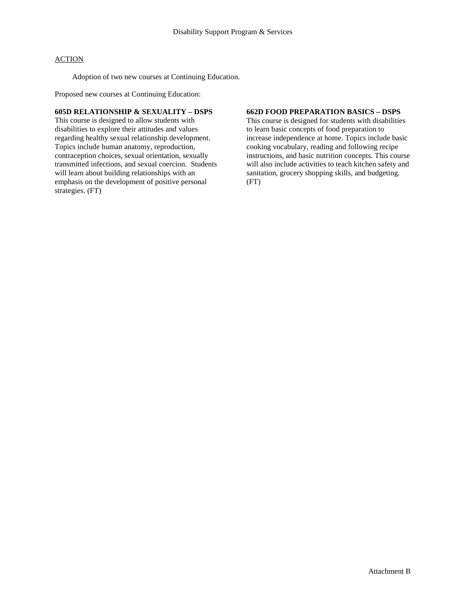Adoption of two new courses at Continuing Education.

Proposed new courses at Continuing Education:

## **605D RELATIONSHIP & SEXUALITY – DSPS**

This course is designed to allow students with disabilities to explore their attitudes and values regarding healthy sexual relationship development. Topics include human anatomy, reproduction, contraception choices, sexual orientation, sexually transmitted infections, and sexual coercion. Students will learn about building relationships with an emphasis on the development of positive personal strategies. (FT)

## **662D FOOD PREPARATION BASICS – DSPS**

This course is designed for students with disabilities to learn basic concepts of food preparation to increase independence at home. Topics include basic cooking vocabulary, reading and following recipe instructions, and basic nutrition concepts. This course will also include activities to teach kitchen safety and sanitation, grocery shopping skills, and budgeting. (FT)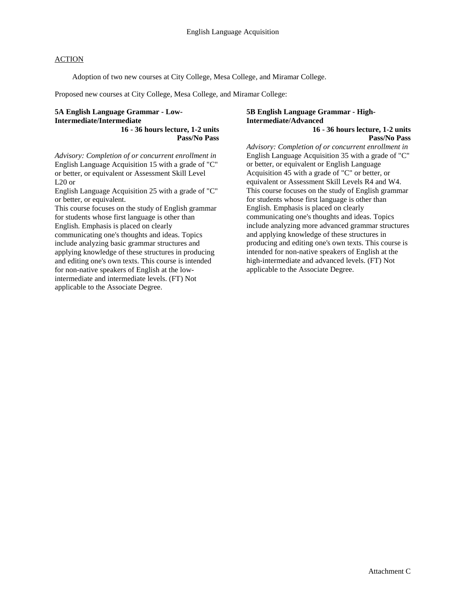Adoption of two new courses at City College, Mesa College, and Miramar College.

Proposed new courses at City College, Mesa College, and Miramar College:

### **5A English Language Grammar - Low-Intermediate/Intermediate 16 - 36 hours lecture, 1-2 units**

**Pass/No Pass**

*Advisory: Completion of or concurrent enrollment in*  English Language Acquisition 15 with a grade of "C" or better, or equivalent or Assessment Skill Level L20 or

English Language Acquisition 25 with a grade of "C" or better, or equivalent.

This course focuses on the study of English grammar for students whose first language is other than English. Emphasis is placed on clearly communicating one's thoughts and ideas. Topics include analyzing basic grammar structures and applying knowledge of these structures in producing and editing one's own texts. This course is intended for non-native speakers of English at the lowintermediate and intermediate levels. (FT) Not applicable to the Associate Degree.

# **5B English Language Grammar - High-Intermediate/Advanced**

**16 - 36 hours lecture, 1-2 units Pass/No Pass**

*Advisory: Completion of or concurrent enrollment in*  English Language Acquisition 35 with a grade of "C" or better, or equivalent or English Language Acquisition 45 with a grade of "C" or better, or equivalent or Assessment Skill Levels R4 and W4. This course focuses on the study of English grammar for students whose first language is other than English. Emphasis is placed on clearly communicating one's thoughts and ideas. Topics include analyzing more advanced grammar structures and applying knowledge of these structures in producing and editing one's own texts. This course is intended for non-native speakers of English at the high-intermediate and advanced levels. (FT) Not applicable to the Associate Degree.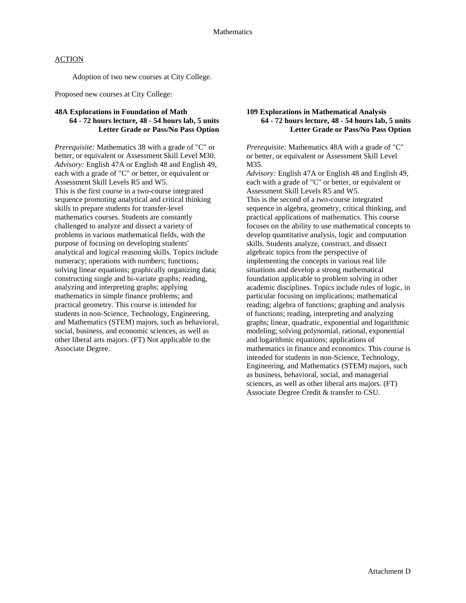Adoption of two new courses at City College.

Proposed new courses at City College:

## **48A Explorations in Foundation of Math 64 - 72 hours lecture, 48 - 54 hours lab, 5 units Letter Grade or Pass/No Pass Option**

*Prerequisite:* Mathematics 38 with a grade of "C" or better, or equivalent or Assessment Skill Level M30. *Advisory:* English 47A or English 48 and English 49, each with a grade of "C" or better, or equivalent or Assessment Skill Levels R5 and W5. This is the first course in a two-course integrated sequence promoting analytical and critical thinking skills to prepare students for transfer-level mathematics courses. Students are constantly challenged to analyze and dissect a variety of problems in various mathematical fields, with the purpose of focusing on developing students' analytical and logical reasoning skills. Topics include numeracy; operations with numbers; functions; solving linear equations; graphically organizing data; constructing single and bi-variate graphs; reading, analyzing and interpreting graphs; applying mathematics in simple finance problems; and practical geometry. This course is intended for students in non-Science, Technology, Engineering, and Mathematics (STEM) majors, such as behavioral, social, business, and economic sciences, as well as other liberal arts majors. (FT) Not applicable to the Associate Degree.

## **109 Explorations in Mathematical Analysis 64 - 72 hours lecture, 48 - 54 hours lab, 5 units Letter Grade or Pass/No Pass Option**

*Prerequisite:* Mathematics 48A with a grade of "C" or better, or equivalent or Assessment Skill Level M35.

*Advisory:* English 47A or English 48 and English 49, each with a grade of "C" or better, or equivalent or Assessment Skill Levels R5 and W5. This is the second of a two-course integrated sequence in algebra, geometry, critical thinking, and practical applications of mathematics. This course focuses on the ability to use mathematical concepts to develop quantitative analysis, logic and computation skills. Students analyze, construct, and dissect algebraic topics from the perspective of implementing the concepts in various real life situations and develop a strong mathematical foundation applicable to problem solving in other academic disciplines. Topics include rules of logic, in particular focusing on implications; mathematical reading; algebra of functions; graphing and analysis of functions; reading, interpreting and analyzing graphs; linear, quadratic, exponential and logarithmic modeling; solving polynomial, rational, exponential and logarithmic equations; applications of mathematics in finance and economics. This course is intended for students in non-Science, Technology, Engineering, and Mathematics (STEM) majors, such as business, behavioral, social, and managerial sciences, as well as other liberal arts majors. (FT) Associate Degree Credit & transfer to CSU.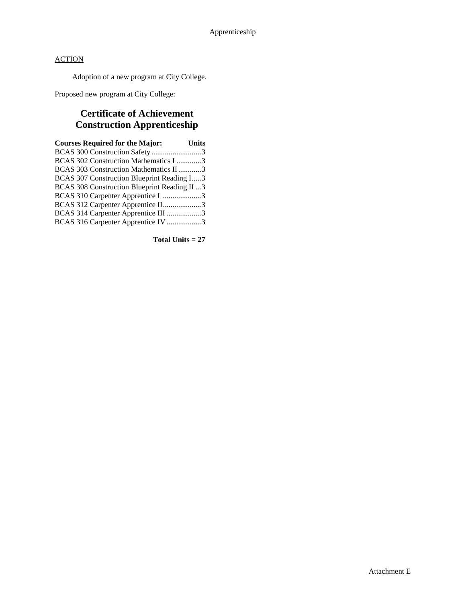Adoption of a new program at City College.

Proposed new program at City College:

# **Certificate of Achievement Construction Apprenticeship**

| <b>Courses Required for the Major:</b>        | <b>Units</b> |
|-----------------------------------------------|--------------|
| BCAS 300 Construction Safety 3                |              |
| BCAS 302 Construction Mathematics I 3         |              |
| BCAS 303 Construction Mathematics II3         |              |
| BCAS 307 Construction Blueprint Reading I3    |              |
| BCAS 308 Construction Blueprint Reading II  3 |              |
| BCAS 310 Carpenter Apprentice I 3             |              |
| BCAS 312 Carpenter Apprentice II3             |              |
| BCAS 314 Carpenter Apprentice III 3           |              |
| BCAS 316 Carpenter Apprentice IV 3            |              |
|                                               |              |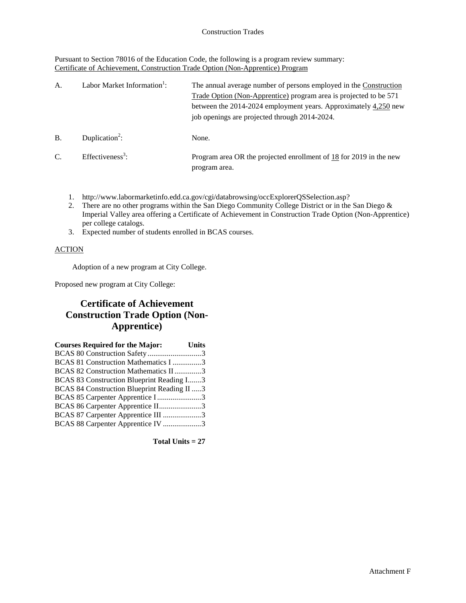Pursuant to Section 78016 of the Education Code, the following is a program review summary: Certificate of Achievement, Construction Trade Option (Non-Apprentice) Program

| A.            | Labor Market Information <sup>1</sup> : | The annual average number of persons employed in the Construction<br>Trade Option (Non-Apprentice) program area is projected to be 571<br>between the 2014-2024 employment years. Approximately 4,250 new<br>job openings are projected through 2014-2024. |
|---------------|-----------------------------------------|------------------------------------------------------------------------------------------------------------------------------------------------------------------------------------------------------------------------------------------------------------|
| <b>B.</b>     | Duplication <sup>2</sup> :              | None.                                                                                                                                                                                                                                                      |
| $\mathcal{C}$ | Effectiveness <sup>3</sup> :            | Program area OR the projected enrollment of $18$ for 2019 in the new<br>program area.                                                                                                                                                                      |

- 1. http://www.labormarketinfo.edd.ca.gov/cgi/databrowsing/occExplorerQSSelection.asp?
- 2. There are no other programs within the San Diego Community College District or in the San Diego & Imperial Valley area offering a Certificate of Achievement in Construction Trade Option (Non-Apprentice) per college catalogs.
- 3. Expected number of students enrolled in BCAS courses.

## **ACTION**

Adoption of a new program at City College.

Proposed new program at City College:

# **Certificate of Achievement Construction Trade Option (Non-Apprentice)**

| <b>Courses Required for the Major:</b>      | <b>Units</b> |
|---------------------------------------------|--------------|
| BCAS 80 Construction Safety3                |              |
| BCAS 81 Construction Mathematics I 3        |              |
| BCAS 82 Construction Mathematics II 3       |              |
| BCAS 83 Construction Blueprint Reading I3   |              |
| BCAS 84 Construction Blueprint Reading II 3 |              |
| BCAS 85 Carpenter Apprentice I3             |              |
| BCAS 86 Carpenter Apprentice II3            |              |
| BCAS 87 Carpenter Apprentice III 3          |              |
| BCAS 88 Carpenter Apprentice IV 3           |              |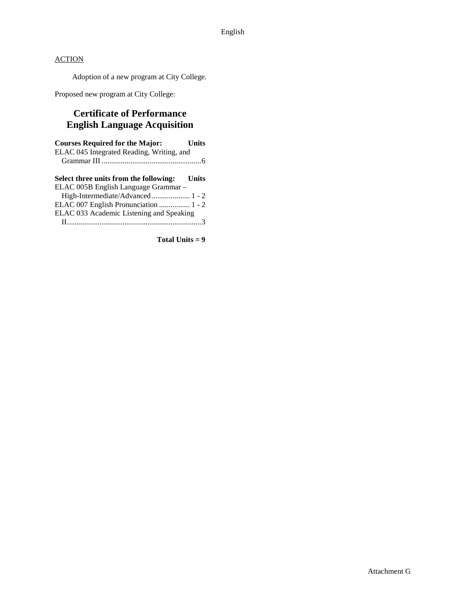Adoption of a new program at City College.

Proposed new program at City College:

# **Certificate of Performance English Language Acquisition**

| <b>Units</b>                                 |
|----------------------------------------------|
| ELAC 045 Integrated Reading, Writing, and    |
|                                              |
|                                              |
| Select three units from the following: Units |
| ELAC 005B English Language Grammar-          |
|                                              |
| ELAC 007 English Pronunciation  1 - 2        |
| ELAC 033 Academic Listening and Speaking     |
|                                              |
|                                              |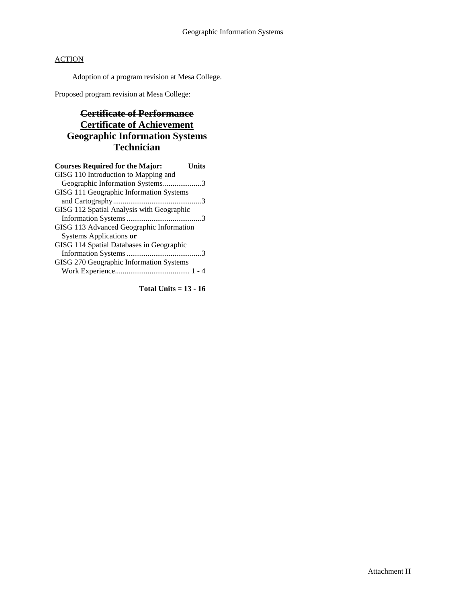Adoption of a program revision at Mesa College.

Proposed program revision at Mesa College:

# **Certificate of Performance Certificate of Achievement Geographic Information Systems Technician**

| <b>Courses Required for the Major:</b><br>Units |
|-------------------------------------------------|
| GISG 110 Introduction to Mapping and            |
| Geographic Information Systems3                 |
| GISG 111 Geographic Information Systems         |
|                                                 |
| GISG 112 Spatial Analysis with Geographic       |
|                                                 |
| GISG 113 Advanced Geographic Information        |
| Systems Applications or                         |
| GISG 114 Spatial Databases in Geographic        |
|                                                 |
| GISG 270 Geographic Information Systems         |
|                                                 |

**Total Units = 13 - 16**